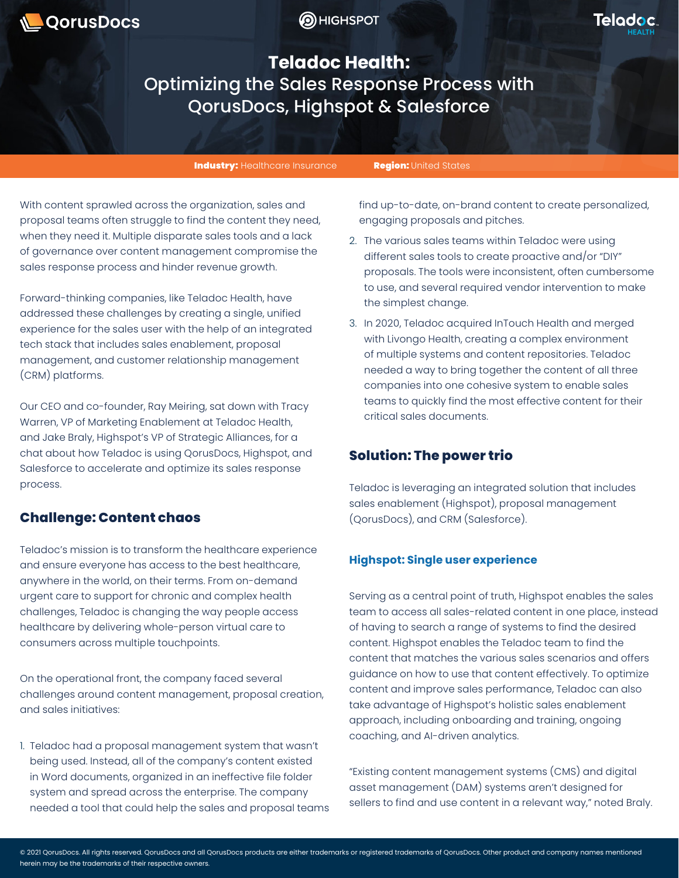



**Teladoc Health:**  Optimizing the Sales Response Process with QorusDocs, Highspot & Salesforce

Industry: Healthcare Insurance Region: United States

With content sprawled across the organization, sales and proposal teams often struggle to find the content they need, when they need it. Multiple disparate sales tools and a lack of governance over content management compromise the sales response process and hinder revenue growth.

Forward-thinking companies, like Teladoc Health, have addressed these challenges by creating a single, unified experience for the sales user with the help of an integrated tech stack that includes sales enablement, proposal management, and customer relationship management (CRM) platforms.

Our CEO and co-founder, Ray Meiring, sat down with Tracy Warren, VP of Marketing Enablement at Teladoc Health, and Jake Braly, Highspot's VP of Strategic Alliances, for a chat about how Teladoc is using QorusDocs, Highspot, and Salesforce to accelerate and optimize its sales response process.

# **Challenge: Content chaos**

Teladoc's mission is to transform the healthcare experience and ensure everyone has access to the best healthcare, anywhere in the world, on their terms. From on-demand urgent care to support for chronic and complex health challenges, Teladoc is changing the way people access healthcare by delivering whole-person virtual care to consumers across multiple touchpoints.

On the operational front, the company faced several challenges around content management, proposal creation, and sales initiatives:

1. Teladoc had a proposal management system that wasn't being used. Instead, all of the company's content existed in Word documents, organized in an ineffective file folder system and spread across the enterprise. The company needed a tool that could help the sales and proposal teams find up-to-date, on-brand content to create personalized, engaging proposals and pitches.

- 2. The various sales teams within Teladoc were using different sales tools to create proactive and/or "DIY" proposals. The tools were inconsistent, often cumbersome to use, and several required vendor intervention to make the simplest change.
- 3. In 2020, Teladoc acquired InTouch Health and merged with Livongo Health, creating a complex environment of multiple systems and content repositories. Teladoc needed a way to bring together the content of all three companies into one cohesive system to enable sales teams to quickly find the most effective content for their critical sales documents.

# **Solution: The power trio**

Teladoc is leveraging an integrated solution that includes sales enablement (Highspot), proposal management (QorusDocs), and CRM (Salesforce).

## **Highspot: Single user experience**

Serving as a central point of truth, Highspot enables the sales team to access all sales-related content in one place, instead of having to search a range of systems to find the desired content. Highspot enables the Teladoc team to find the content that matches the various sales scenarios and offers guidance on how to use that content effectively. To optimize content and improve sales performance, Teladoc can also take advantage of Highspot's holistic sales enablement approach, including onboarding and training, ongoing coaching, and AI-driven analytics.

"Existing content management systems (CMS) and digital asset management (DAM) systems aren't designed for sellers to find and use content in a relevant way," noted Braly.